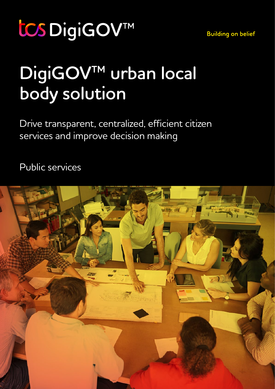tCS DigiGOV™

**Building on belief** 

# **DigiGOV™ urban local body solution**

Drive transparent, centralized, efficient citizen services and improve decision making

Public services

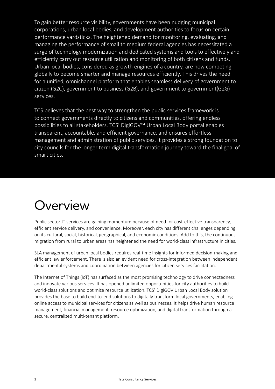To gain better resource visibility, governments have been nudging municipal corporations, urban local bodies, and development authorities to focus on certain performance yardsticks. The heightened demand for monitoring, evaluating, and managing the performance of small to medium federal agencies has necessitated a surge of technology modernization and dedicated systems and tools to effectively and efficiently carry out resource utilization and monitoring of both citizens and funds. Urban local bodies, considered as growth engines of a country, are now competing globally to become smarter and manage resources efficiently. This drives the need for a unified, omnichannel platform that enables seamless delivery of government to citizen (G2C), government to business (G2B), and government to government(G2G) services.

TCS believes that the best way to strengthen the public services framework is to connect governments directly to citizens and communities, offering endless possibilities to all stakeholders. TCS' DigiGOV™ Urban Local Body portal enables transparent, accountable, and efficient governance, and ensures effortless management and administration of public services. It provides a strong foundation to city councils for the longer term digital transformation journey toward the final goal of smart cities.

#### Overview

Public sector IT services are gaining momentum because of need for cost-effective transparency, efficient service delivery, and convenience. Moreover, each city has different challenges depending on its cultural, social, historical, geographical, and economic conditions. Add to this, the continuous migration from rural to urban areas has heightened the need for world-class infrastructure in cities.

SLA management of urban local bodies requires real-time insights for informed decision-making and efficient law enforcement. There is also an evident need for cross-integration between independent departmental systems and coordination between agencies for citizen services facilitation.

The Internet of Things (IoT) has surfaced as the most promising technology to drive connectedness and innovate various services. It has opened unlimited opportunities for city authorities to build world-class solutions and optimize resource utilization. TCS' DigiGOV Urban Local Body solution provides the base to build end-to-end solutions to digitally transform local governments, enabling online access to municipal services for citizens as well as businesses. It helps drive human resource management, financial management, resource optimization, and digital transformation through a secure, centralized multi-tenant platform.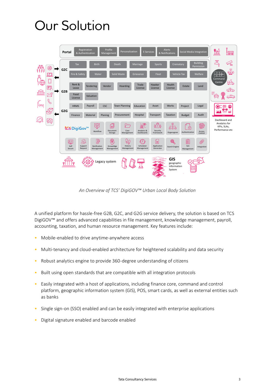### Our Solution



*An Overview of TCS' DigiGOV™ Urban Local Body Solution*

A unified platform for hassle-free G2B, G2C, and G2G service delivery, the solution is based on TCS DigiGOV™ and offers advanced capabilities in file management, knowledge management, payroll, accounting, taxation, and human resource management. Key features include:

- Mobile-enabled to drive anytime-anywhere access
- Multi-tenancy and cloud-enabled architecture for heightened scalability and data security
- Robust analytics engine to provide 360-degree understanding of citizens
- Built using open standards that are compatible with all integration protocols
- Easily integrated with a host of applications, including finance core, command and control platform, geographic information system (GIS), POS, smart cards, as well as external entities such as banks
- Single sign-on (SSO) enabled and can be easily integrated with enterprise applications
- Digital signature enabled and barcode enabled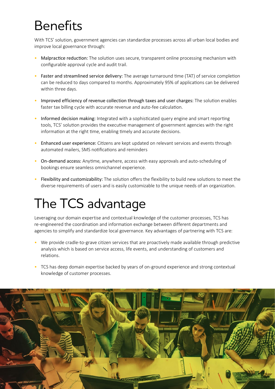# Benefits

With TCS' solution, government agencies can standardize processes across all urban local bodies and improve local governance through:

- Malpractice reduction: The solution uses secure, transparent online processing mechanism with configurable approval cycle and audit trail.
- Faster and streamlined service delivery: The average turnaround time (TAT) of service completion can be reduced to days compared to months. Approximately 95% of applications can be delivered within three days.
- Improved efficiency of revenue collection through taxes and user charges: The solution enables faster tax billing cycle with accurate revenue and auto-fee calculation.
- Informed decision making: Integrated with a sophisticated query engine and smart reporting tools, TCS' solution provides the executive management of government agencies with the right information at the right time, enabling timely and accurate decisions.
- Enhanced user experience: Citizens are kept updated on relevant services and events through automated mailers, SMS notifications and reminders
- On-demand access: Anytime, anywhere, access with easy approvals and auto-scheduling of bookings ensure seamless omnichannel experience.
- Flexibility and customizability: The solution offers the flexibility to build new solutions to meet the diverse requirements of users and is easily customizable to the unique needs of an organization.

## The TCS advantage

Leveraging our domain expertise and contextual knowledge of the customer processes, TCS has re-engineered the coordination and information exchange between different departments and agencies to simplify and standardize local governance. Key advantages of partnering with TCS are:

- We provide cradle-to-grave citizen services that are proactively made available through predictive analysis which is based on service access, life events, and understanding of customers and relations.
- TCS has deep domain expertise backed by years of on-ground experience and strong contextual knowledge of customer processes.